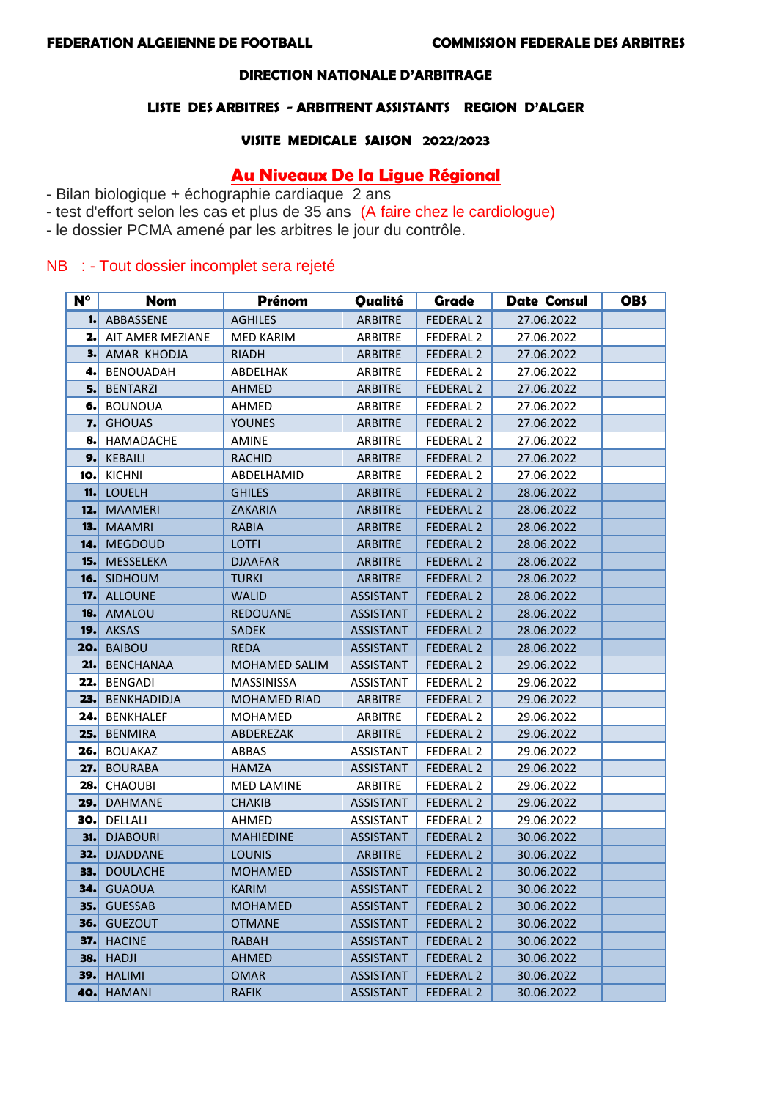### **DIRECTION NATIONALE D'ARBITRAGE**

## **LISTE DES ARBITRES - ARBITRENT ASSISTANTS REGION D'ALGER**

#### **VISITE MEDICALE SAISON 2022/2023**

# **Au Niveaux De la Ligue Régional**

- Bilan biologique + échographie cardiaque 2 ans
- test d'effort selon les cas et plus de 35 ans (A faire chez le cardiologue)
- le dossier PCMA amené par les arbitres le jour du contrôle.

# NB : - Tout dossier incomplet sera rejeté

| $N^{\circ}$ | Nom              | <b>Prénom</b>        | Qualité          | Grade                | <b>Date Consul</b> | <b>OBS</b> |
|-------------|------------------|----------------------|------------------|----------------------|--------------------|------------|
| 1.          | ABBASSENE        | <b>AGHILES</b>       | <b>ARBITRE</b>   | <b>FEDERAL 2</b>     | 27.06.2022         |            |
| 2.          | AIT AMER MEZIANE | <b>MED KARIM</b>     | <b>ARBITRE</b>   | FEDERAL <sub>2</sub> | 27.06.2022         |            |
| з.          | AMAR KHODJA      | RIADH                | <b>ARBITRE</b>   | <b>FEDERAL 2</b>     | 27.06.2022         |            |
| 4.          | <b>BENOUADAH</b> | ABDELHAK             | <b>ARBITRE</b>   | <b>FEDERAL 2</b>     | 27.06.2022         |            |
| 5.          | <b>BENTARZI</b>  | <b>AHMED</b>         | <b>ARBITRE</b>   | <b>FEDERAL 2</b>     | 27.06.2022         |            |
| 6.          | <b>BOUNOUA</b>   | AHMED                | <b>ARBITRE</b>   | <b>FEDERAL 2</b>     | 27.06.2022         |            |
| 7.          | <b>GHOUAS</b>    | <b>YOUNES</b>        | <b>ARBITRE</b>   | <b>FEDERAL 2</b>     | 27.06.2022         |            |
| 8.          | <b>HAMADACHE</b> | AMINE                | <b>ARBITRE</b>   | <b>FEDERAL 2</b>     | 27.06.2022         |            |
| 9.          | <b>KEBAILI</b>   | <b>RACHID</b>        | <b>ARBITRE</b>   | <b>FEDERAL 2</b>     | 27.06.2022         |            |
| 10.         | <b>KICHNI</b>    | ABDELHAMID           | <b>ARBITRE</b>   | <b>FEDERAL 2</b>     | 27.06.2022         |            |
| 11.         | <b>LOUELH</b>    | <b>GHILES</b>        | <b>ARBITRE</b>   | <b>FEDERAL 2</b>     | 28.06.2022         |            |
| 12.         | <b>MAAMERI</b>   | <b>ZAKARIA</b>       | <b>ARBITRE</b>   | <b>FEDERAL 2</b>     | 28.06.2022         |            |
| 13.         | <b>MAAMRI</b>    | <b>RABIA</b>         | <b>ARBITRE</b>   | <b>FEDERAL 2</b>     | 28.06.2022         |            |
| 14.         | <b>MEGDOUD</b>   | <b>LOTFI</b>         | <b>ARBITRE</b>   | <b>FEDERAL 2</b>     | 28.06.2022         |            |
| 15.         | <b>MESSELEKA</b> | <b>DJAAFAR</b>       | <b>ARBITRE</b>   | <b>FEDERAL 2</b>     | 28.06.2022         |            |
| 16.         | <b>SIDHOUM</b>   | <b>TURKI</b>         | <b>ARBITRE</b>   | <b>FEDERAL 2</b>     | 28.06.2022         |            |
| 17.         | <b>ALLOUNE</b>   | <b>WALID</b>         | <b>ASSISTANT</b> | <b>FEDERAL 2</b>     | 28.06.2022         |            |
| 18.         | AMALOU           | <b>REDOUANE</b>      | <b>ASSISTANT</b> | <b>FEDERAL 2</b>     | 28.06.2022         |            |
| 19.         | <b>AKSAS</b>     | <b>SADEK</b>         | <b>ASSISTANT</b> | <b>FEDERAL 2</b>     | 28.06.2022         |            |
| 20.         | <b>BAIBOU</b>    | <b>REDA</b>          | <b>ASSISTANT</b> | <b>FEDERAL 2</b>     | 28.06.2022         |            |
| 21.         | <b>BENCHANAA</b> | <b>MOHAMED SALIM</b> | ASSISTANT        | <b>FEDERAL 2</b>     | 29.06.2022         |            |
| 22.         | <b>BENGADI</b>   | MASSINISSA           | ASSISTANT        | FEDERAL <sub>2</sub> | 29.06.2022         |            |
| 23.         | BENKHADIDJA      | <b>MOHAMED RIAD</b>  | <b>ARBITRE</b>   | <b>FEDERAL 2</b>     | 29.06.2022         |            |
| 24.         | <b>BENKHALEF</b> | <b>MOHAMED</b>       | <b>ARBITRE</b>   | <b>FEDERAL 2</b>     | 29.06.2022         |            |
| 25.         | <b>BENMIRA</b>   | ABDEREZAK            | <b>ARBITRE</b>   | <b>FEDERAL 2</b>     | 29.06.2022         |            |
| 26.         | <b>BOUAKAZ</b>   | ABBAS                | ASSISTANT        | <b>FEDERAL 2</b>     | 29.06.2022         |            |
| 27.         | <b>BOURABA</b>   | <b>HAMZA</b>         | ASSISTANT        | <b>FEDERAL 2</b>     | 29.06.2022         |            |
| 28.         | <b>CHAOUBI</b>   | <b>MED LAMINE</b>    | <b>ARBITRE</b>   | <b>FEDERAL 2</b>     | 29.06.2022         |            |
| 29.         | <b>DAHMANE</b>   | <b>CHAKIB</b>        | <b>ASSISTANT</b> | <b>FEDERAL 2</b>     | 29.06.2022         |            |
| 30.         | DELLALI          | AHMED                | ASSISTANT        | <b>FEDERAL 2</b>     | 29.06.2022         |            |
| 31.         | <b>DJABOURI</b>  | <b>MAHIEDINE</b>     | <b>ASSISTANT</b> | <b>FEDERAL 2</b>     | 30.06.2022         |            |
| 32.         | <b>DJADDANE</b>  | <b>LOUNIS</b>        | <b>ARBITRE</b>   | <b>FEDERAL 2</b>     | 30.06.2022         |            |
| 33.         | <b>DOULACHE</b>  | <b>MOHAMED</b>       | <b>ASSISTANT</b> | <b>FEDERAL 2</b>     | 30.06.2022         |            |
| 34.         | <b>GUAOUA</b>    | <b>KARIM</b>         | <b>ASSISTANT</b> | <b>FEDERAL 2</b>     | 30.06.2022         |            |
| 35.         | <b>GUESSAB</b>   | <b>MOHAMED</b>       | <b>ASSISTANT</b> | <b>FEDERAL 2</b>     | 30.06.2022         |            |
| 36.         | <b>GUEZOUT</b>   | <b>OTMANE</b>        | <b>ASSISTANT</b> | <b>FEDERAL 2</b>     | 30.06.2022         |            |
| 37.         | <b>HACINE</b>    | <b>RABAH</b>         | <b>ASSISTANT</b> | <b>FEDERAL 2</b>     | 30.06.2022         |            |
| 38.         | <b>HADJI</b>     | <b>AHMED</b>         | <b>ASSISTANT</b> | <b>FEDERAL 2</b>     | 30.06.2022         |            |
| 39.         | <b>HALIMI</b>    | <b>OMAR</b>          | <b>ASSISTANT</b> | <b>FEDERAL 2</b>     | 30.06.2022         |            |
| 40.         | <b>HAMANI</b>    | <b>RAFIK</b>         | <b>ASSISTANT</b> | <b>FEDERAL 2</b>     | 30.06.2022         |            |